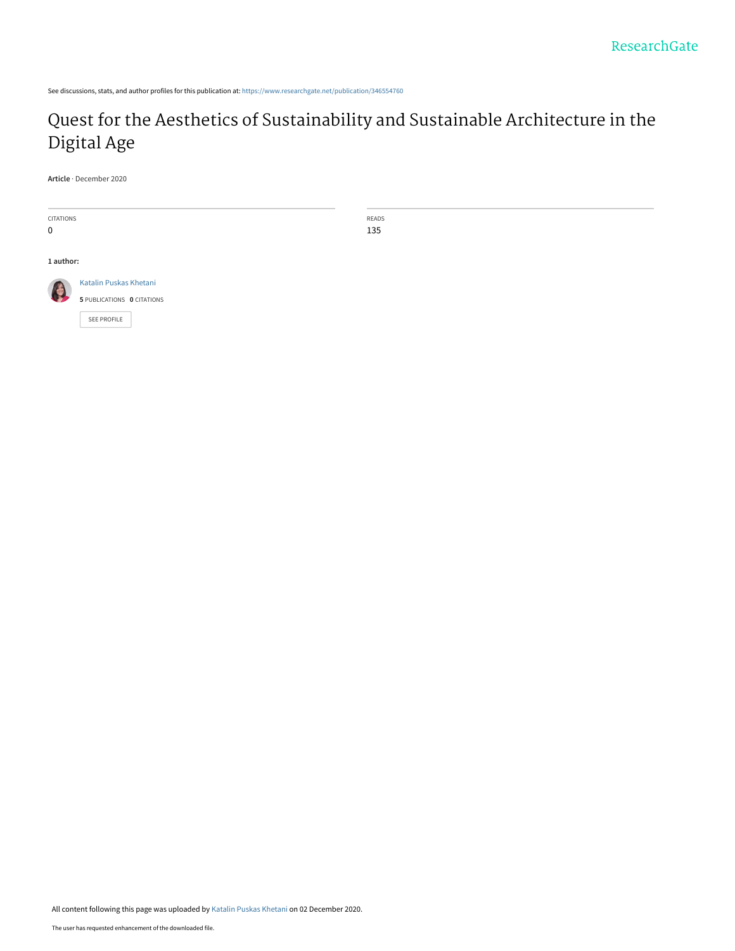See discussions, stats, and author profiles for this publication at: [https://www.researchgate.net/publication/346554760](https://www.researchgate.net/publication/346554760_Quest_for_the_Aesthetics_of_Sustainability_and_Sustainable_Architecture_in_the_Digital_Age?enrichId=rgreq-51829d4f562ee8106592f8552107d270-XXX&enrichSource=Y292ZXJQYWdlOzM0NjU1NDc2MDtBUzo5NjQxMjM5MzY0MjgwMzNAMTYwNjg3NjQ2Nzc2MQ%3D%3D&el=1_x_2&_esc=publicationCoverPdf)

# [Quest for the Aesthetics of Sustainability and Sustainable Architecture in the](https://www.researchgate.net/publication/346554760_Quest_for_the_Aesthetics_of_Sustainability_and_Sustainable_Architecture_in_the_Digital_Age?enrichId=rgreq-51829d4f562ee8106592f8552107d270-XXX&enrichSource=Y292ZXJQYWdlOzM0NjU1NDc2MDtBUzo5NjQxMjM5MzY0MjgwMzNAMTYwNjg3NjQ2Nzc2MQ%3D%3D&el=1_x_3&_esc=publicationCoverPdf) Digital Age

**Article** · December 2020



READS 135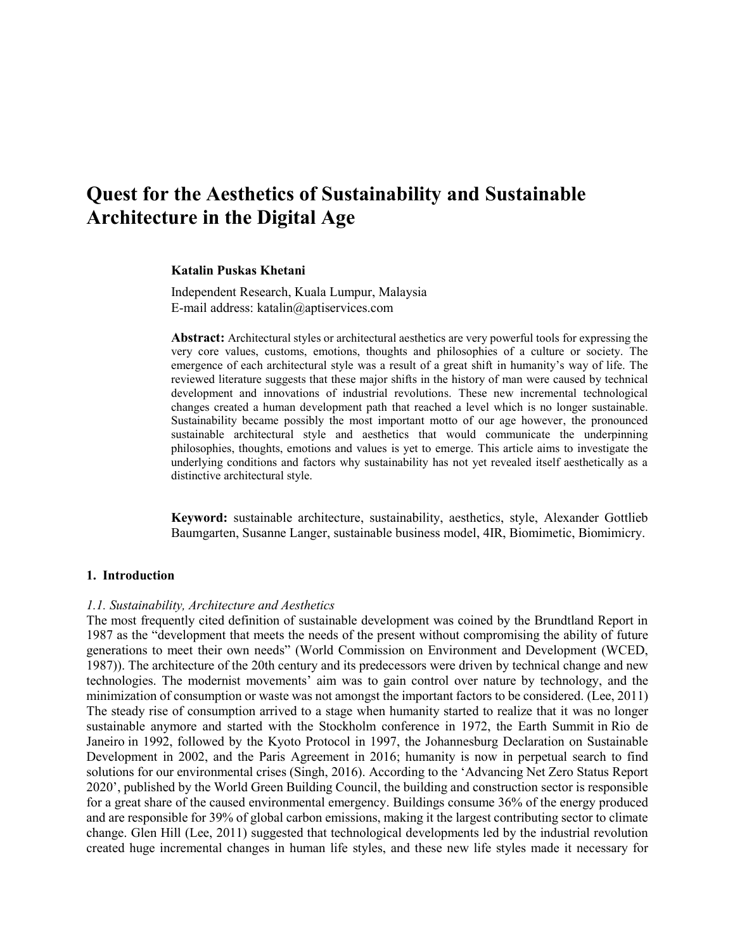# **Quest for the Aesthetics of Sustainability and Sustainable Architecture in the Digital Age**

#### **Katalin Puskas Khetani**

Independent Research, Kuala Lumpur, Malaysia E-mail address: katalin@aptiservices.com

**Abstract:** Architectural styles or architectural aesthetics are very powerful tools for expressing the very core values, customs, emotions, thoughts and philosophies of a culture or society. The emergence of each architectural style was a result of a great shift in humanity's way of life. The reviewed literature suggests that these major shifts in the history of man were caused by technical development and innovations of industrial revolutions. These new incremental technological changes created a human development path that reached a level which is no longer sustainable. Sustainability became possibly the most important motto of our age however, the pronounced sustainable architectural style and aesthetics that would communicate the underpinning philosophies, thoughts, emotions and values is yet to emerge. This article aims to investigate the underlying conditions and factors why sustainability has not yet revealed itself aesthetically as a distinctive architectural style.

**Keyword:** sustainable architecture, sustainability, aesthetics, style, Alexander Gottlieb Baumgarten, Susanne Langer, sustainable business model, 4IR, Biomimetic, Biomimicry.

#### **1. Introduction**

#### *1.1. Sustainability, Architecture and Aesthetics*

The most frequently cited definition of sustainable development was coined by the Brundtland Report in 1987 as the "development that meets the needs of the present without compromising the ability of future generations to meet their own needs" (World Commission on Environment and Development (WCED, 1987)). The architecture of the 20th century and its predecessors were driven by technical change and new technologies. The modernist movements' aim was to gain control over nature by technology, and the minimization of consumption or waste was not amongst the important factors to be considered. (Lee, 2011) The steady rise of consumption arrived to a stage when humanity started to realize that it was no longer sustainable anymore and started with the Stockholm conference in 1972, the [Earth Summit](https://en.wikipedia.org/wiki/Earth_Summit) in [Rio de](https://en.wikipedia.org/wiki/Rio_de_Janeiro)  [Janeiro](https://en.wikipedia.org/wiki/Rio_de_Janeiro) in 1992, followed by the Kyoto Protocol in 1997, the Johannesburg Declaration on Sustainable Development in 2002, and the Paris Agreement in 2016; humanity is now in perpetual search to find solutions for our environmental crises (Singh, 2016). According to the 'Advancing Net Zero Status Report 2020', published by the World Green Building Council, the building and construction sector is responsible for a great share of the caused environmental emergency. Buildings consume 36% of the energy produced and are responsible for 39% of global carbon emissions, making it the largest contributing sector to climate change. Glen Hill (Lee, 2011) suggested that technological developments led by the industrial revolution created huge incremental changes in human life styles, and these new life styles made it necessary for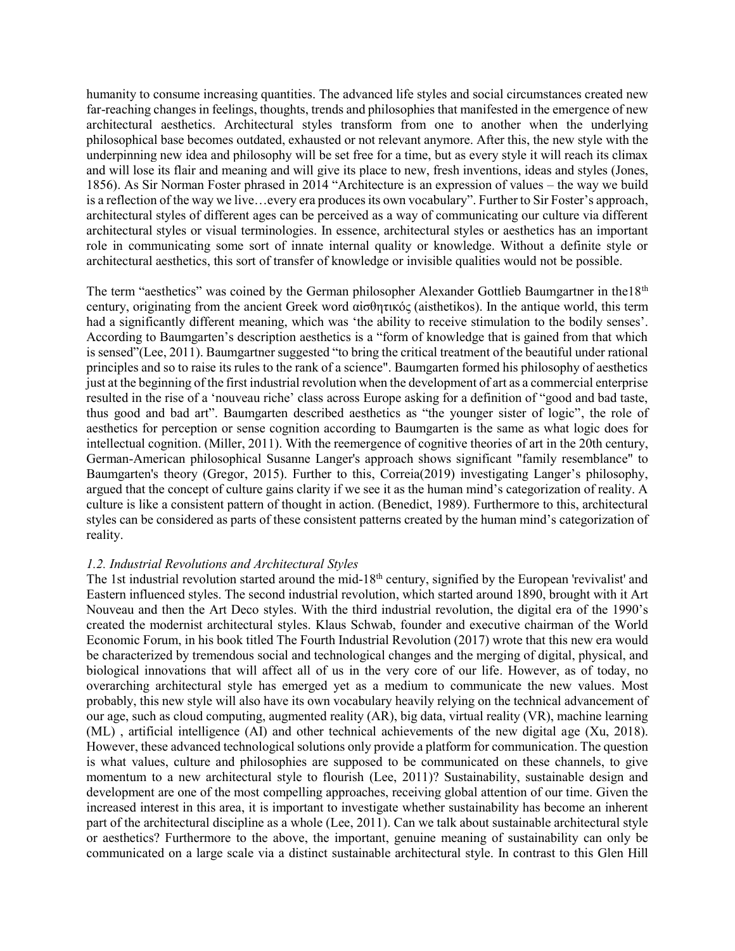humanity to consume increasing quantities. The advanced life styles and social circumstances created new far-reaching changes in feelings, thoughts, trends and philosophies that manifested in the emergence of new architectural aesthetics. Architectural styles transform from one to another when the underlying philosophical base becomes outdated, exhausted or not relevant anymore. After this, the new style with the underpinning new idea and philosophy will be set free for a time, but as every style it will reach its climax and will lose its flair and meaning and will give its place to new, fresh inventions, ideas and styles (Jones, 1856). As Sir Norman Foster phrased in 2014 "Architecture is an expression of values – the way we build is a reflection of the way we live…every era produces its own vocabulary". Further to Sir Foster's approach, architectural styles of different ages can be perceived as a way of communicating our culture via different architectural styles or visual terminologies. In essence, architectural styles or aesthetics has an important role in communicating some sort of innate internal quality or knowledge. Without a definite style or architectural aesthetics, this sort of transfer of knowledge or invisible qualities would not be possible.

The term "aesthetics" was coined by the German philosopher Alexander Gottlieb Baumgartner in the18<sup>th</sup> century, originating from the ancient Greek word αἰσθητικός (aisthetikos). In the antique world, this term had a significantly different meaning, which was 'the ability to receive stimulation to the bodily senses'. According to Baumgarten's description aesthetics is a "form of knowledge that is gained from that which is sensed"(Lee, 2011). Baumgartner suggested "to bring the critical treatment of the beautiful under rational principles and so to raise its rules to the rank of a science". Baumgarten formed his philosophy of aesthetics just at the beginning of the first industrial revolution when the development of art as a commercial enterprise resulted in the rise of a 'nouveau riche' class across Europe asking for a definition of "good and bad taste, thus good and bad art". Baumgarten described aesthetics as "the younger sister of logic", the role of aesthetics for perception or sense cognition according to Baumgarten is the same as what logic does for intellectual cognition. (Miller, 2011). With the reemergence of cognitive theories of art in the 20th century, German-American philosophical Susanne Langer's approach shows significant "family resemblance" to Baumgarten's theory (Gregor, 2015). Further to this, Correia(2019) investigating Langer's philosophy, argued that the concept of culture gains clarity if we see it as the human mind's categorization of reality. A culture is like a consistent pattern of thought in action. (Benedict, 1989). Furthermore to this, architectural styles can be considered as parts of these consistent patterns created by the human mind's categorization of reality.

### *1.2. Industrial Revolutions and Architectural Styles*

The 1st industrial revolution started around the mid-18<sup>th</sup> century, signified by the European 'revivalist' and Eastern influenced styles. The second industrial revolution, which started around 1890, brought with it Art Nouveau and then the Art Deco styles. With the third industrial revolution, the digital era of the 1990's created the modernist architectural styles. Klaus Schwab, founder and executive chairman of the World Economic Forum, in his book titled The Fourth Industrial Revolution (2017) wrote that this new era would be characterized by tremendous social and technological changes and the merging of digital, physical, and biological innovations that will affect all of us in the very core of our life. However, as of today, no overarching architectural style has emerged yet as a medium to communicate the new values. Most probably, this new style will also have its own vocabulary heavily relying on the technical advancement of our age, such as cloud computing, augmented reality (AR), big data, virtual reality (VR), machine learning (ML) , artificial intelligence (AI) and other technical achievements of the new digital age (Xu, 2018). However, these advanced technological solutions only provide a platform for communication. The question is what values, culture and philosophies are supposed to be communicated on these channels, to give momentum to a new architectural style to flourish (Lee, 2011)? Sustainability, sustainable design and development are one of the most compelling approaches, receiving global attention of our time. Given the increased interest in this area, it is important to investigate whether sustainability has become an inherent part of the architectural discipline as a whole (Lee, 2011). Can we talk about sustainable architectural style or aesthetics? Furthermore to the above, the important, genuine meaning of sustainability can only be communicated on a large scale via a distinct sustainable architectural style. In contrast to this Glen Hill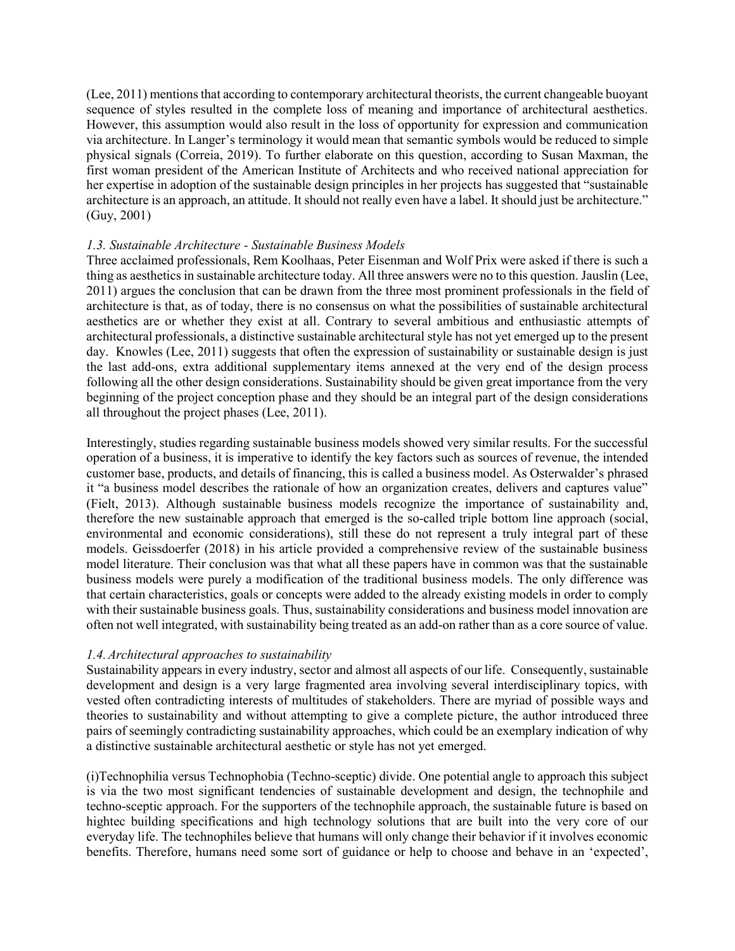$(Lee, 2011)$  mentions that according to contemporary architectural theorists, the current changeable buoyant sequence of styles resulted in the complete loss of meaning and importance of architectural aesthetics. However, this assumption would also result in the loss of opportunity for expression and communication via architecture. In Langer's terminology it would mean that semantic symbols would be reduced to simple physical signals (Correia, 2019). To further elaborate on this question, according to Susan Maxman, the first woman president of the [American Institute of Architects](https://en.wikipedia.org/wiki/American_Institute_of_Architects) and who received national appreciation for her expertise in adoption of the sustainable design principles in her projects has suggested that "sustainable architecture is an approach, an attitude. It should not really even have a label. It should just be architecture." (Guy, 2001)

### *1.3. Sustainable Architecture - Sustainable Business Models*

Three acclaimed professionals, Rem Koolhaas, Peter Eisenman and Wolf Prix were asked if there is such a thing as aesthetics in sustainable architecture today. All three answers were no to this question. Jauslin (Lee, 2011) argues the conclusion that can be drawn from the three most prominent professionals in the field of architecture is that, as of today, there is no consensus on what the possibilities of sustainable architectural aesthetics are or whether they exist at all. Contrary to several ambitious and enthusiastic attempts of architectural professionals, a distinctive sustainable architectural style has not yet emerged up to the present day. Knowles (Lee, 2011) suggests that often the expression of sustainability or sustainable design is just the last add-ons, extra additional supplementary items annexed at the very end of the design process following all the other design considerations. Sustainability should be given great importance from the very beginning of the project conception phase and they should be an integral part of the design considerations all throughout the project phases (Lee, 2011).

Interestingly, studies regarding sustainable business models showed very similar results. For the successful operation of a business, it is imperative to identify the key factors such as sources of revenue, the intended customer base, products, and details of financing, this is called a business model. [As Osterwalder's](http://alexosterwalder.com/) phrased it "a business model describes the rationale of how an organization creates, delivers and captures value" (Fielt, 2013). Although sustainable business models recognize the importance of sustainability and, therefore the new sustainable approach that emerged is the so-called triple bottom line approach (social, environmental and economic considerations), still these do not represent a truly integral part of these models. Geissdoerfer (2018) in his article provided a comprehensive review of the sustainable business model literature. Their conclusion was that what all these papers have in common was that the sustainable business models were purely a modification of the traditional business models. The only difference was that certain characteristics, goals or concepts were added to the already existing models in order to comply with their sustainable business goals. Thus, sustainability considerations and business model innovation are often not well integrated, with sustainability being treated as an add-on rather than as a core source of value.

### *1.4.Architectural approaches to sustainability*

Sustainability appears in every industry, sector and almost all aspects of our life. Consequently, sustainable development and design is a very large fragmented area involving several interdisciplinary topics, with vested often contradicting interests of multitudes of stakeholders. There are myriad of possible ways and theories to sustainability and without attempting to give a complete picture, the author introduced three pairs of seemingly contradicting sustainability approaches, which could be an exemplary indication of why a distinctive sustainable architectural aesthetic or style has not yet emerged.

(i)Technophilia versus Technophobia (Techno-sceptic) divide. One potential angle to approach this subject is via the two most significant tendencies of sustainable development and design, the technophile and techno-sceptic approach. For the supporters of the technophile approach, the sustainable future is based on hightec building specifications and high technology solutions that are built into the very core of our everyday life. The technophiles believe that humans will only change their behavior if it involves economic benefits. Therefore, humans need some sort of guidance or help to choose and behave in an 'expected',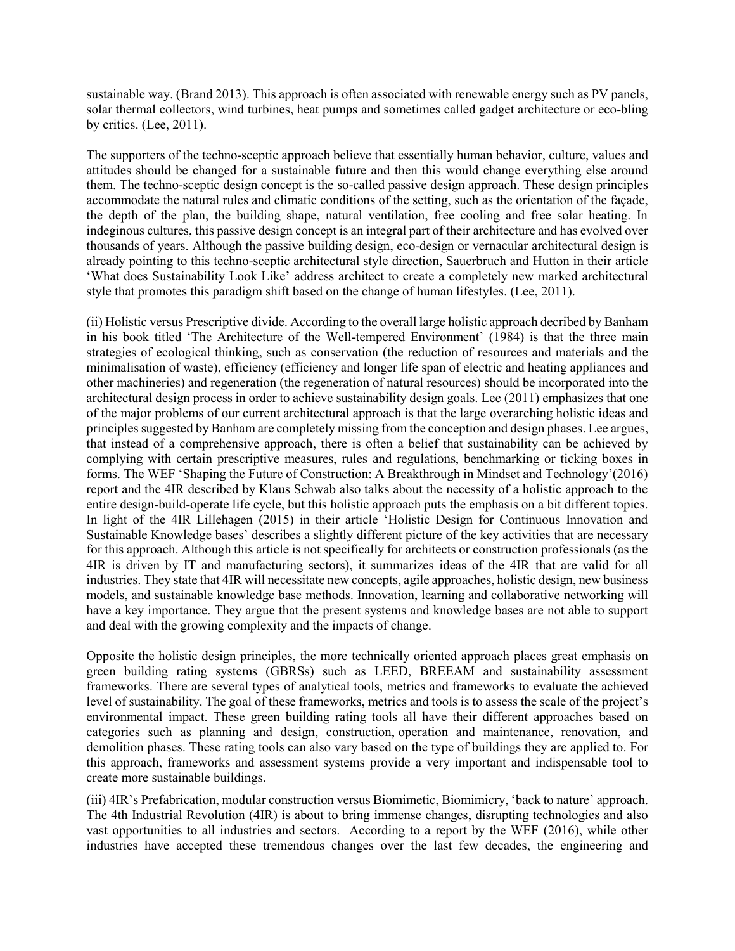sustainable way. (Brand 2013). This approach is often associated with renewable energy such as PV panels, solar thermal collectors, wind turbines, heat pumps and sometimes called gadget architecture or eco-bling by critics. (Lee, 2011).

The supporters of the techno-sceptic approach believe that essentially human behavior, culture, values and attitudes should be changed for a sustainable future and then this would change everything else around them. The techno-sceptic design concept is the so-called passive design approach. These design principles accommodate the natural rules and climatic conditions of the setting, such as the orientation of the façade, the depth of the plan, the building shape, natural ventilation, free cooling and free solar heating. In indeginous cultures, this passive design concept is an integral part of their architecture and has evolved over thousands of years. Although the passive building design, eco-design or vernacular architectural design is already pointing to this techno-sceptic architectural style direction, Sauerbruch and Hutton in their article 'What does Sustainability Look Like' address architect to create a completely new marked architectural style that promotes this paradigm shift based on the change of human lifestyles. (Lee, 2011).

(ii) Holistic versus Prescriptive divide. According to the overall large holistic approach decribed by Banham in his book titled 'The Architecture of the Well-tempered Environment' (1984) is that the three main strategies of ecological thinking, such as conservation (the reduction of resources and materials and the minimalisation of waste), efficiency (efficiency and longer life span of electric and heating appliances and other machineries) and regeneration (the regeneration of natural resources) should be incorporated into the architectural design process in order to achieve sustainability design goals. Lee (2011) emphasizes that one of the major problems of our current architectural approach is that the large overarching holistic ideas and principlessuggested by Banham are completely missing from the conception and design phases. Lee argues, that instead of a comprehensive approach, there is often a belief that sustainability can be achieved by complying with certain prescriptive measures, rules and regulations, benchmarking or ticking boxes in forms. The WEF 'Shaping the Future of Construction: A Breakthrough in Mindset and Technology'(2016) report and the 4IR described by Klaus Schwab also talks about the necessity of a holistic approach to the entire design-build-operate life cycle, but this holistic approach puts the emphasis on a bit different topics. In light of the 4IR Lillehagen (2015) in their article 'Holistic Design for Continuous Innovation and Sustainable Knowledge bases' describes a slightly different picture of the key activities that are necessary for this approach. Although this article is not specifically for architects or construction professionals (as the 4IR is driven by IT and manufacturing sectors), it summarizes ideas of the 4IR that are valid for all industries. They state that 4IR will necessitate new concepts, agile approaches, holistic design, new business models, and sustainable knowledge base methods. Innovation, learning and collaborative networking will have a key importance. They argue that the present systems and knowledge bases are not able to support and deal with the growing complexity and the impacts of change.

Opposite the holistic design principles, the more technically oriented approach places great emphasis on green building rating systems (GBRSs) such as LEED, BREEAM and sustainability assessment frameworks. There are several types of analytical tools, metrics and frameworks to evaluate the achieved level of sustainability. The goal of these frameworks, metrics and tools is to assess the scale of the project's environmental impact. These green building rating tools all have their different approaches based on categories such as planning and design, construction, operation and maintenance, renovation, and demolition phases. These rating tools can also vary based on the type of buildings they are applied to. For this approach, frameworks and assessment systems provide a very important and indispensable tool to create more sustainable buildings.

(iii) 4IR's Prefabrication, modular construction versus Biomimetic, Biomimicry, 'back to nature' approach. The 4th Industrial Revolution (4IR) is about to bring immense changes, disrupting technologies and also vast opportunities to all industries and sectors. According to a report by the WEF (2016), while other industries have accepted these tremendous changes over the last few decades, the engineering and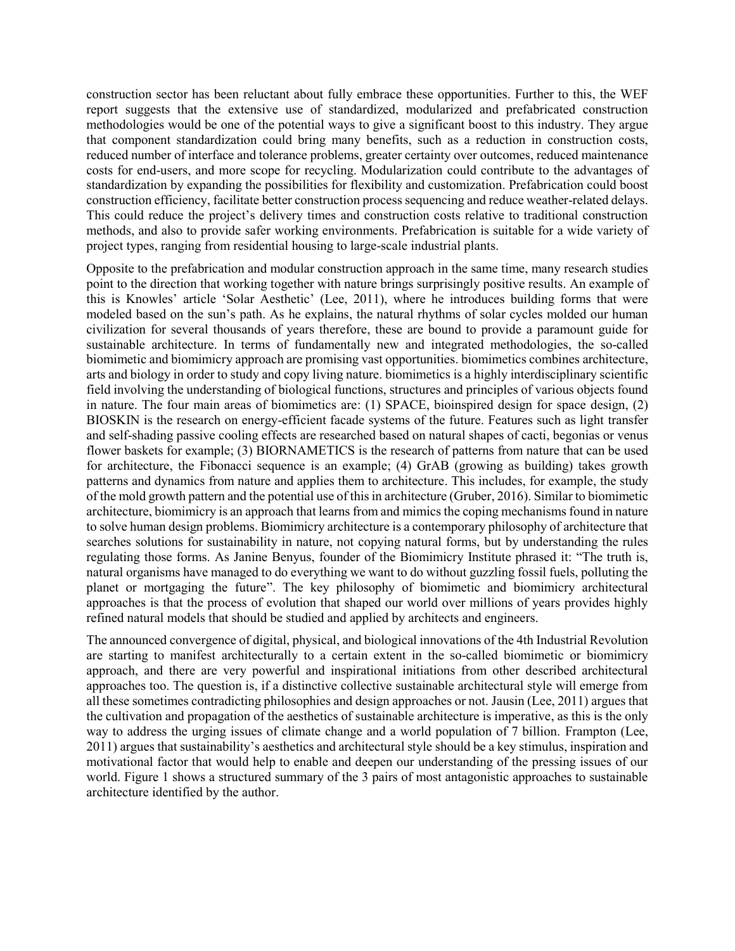construction sector has been reluctant about fully embrace these opportunities. Further to this, the WEF report suggests that the extensive use of standardized, modularized and prefabricated construction methodologies would be one of the potential ways to give a significant boost to this industry. They argue that component standardization could bring many benefits, such as a reduction in construction costs, reduced number of interface and tolerance problems, greater certainty over outcomes, reduced maintenance costs for end-users, and more scope for recycling. Modularization could contribute to the advantages of standardization by expanding the possibilities for flexibility and customization. Prefabrication could boost construction efficiency, facilitate better construction process sequencing and reduce weather-related delays. This could reduce the project's delivery times and construction costs relative to traditional construction methods, and also to provide safer working environments. Prefabrication is suitable for a wide variety of project types, ranging from residential housing to large-scale industrial plants.

Opposite to the prefabrication and modular construction approach in the same time, many research studies point to the direction that working together with nature brings surprisingly positive results. An example of this is Knowles' article 'Solar Aesthetic' (Lee, 2011), where he introduces building forms that were modeled based on the sun's path. As he explains, the natural rhythms of solar cycles molded our human civilization for several thousands of years therefore, these are bound to provide a paramount guide for sustainable architecture. In terms of fundamentally new and integrated methodologies, the so-called biomimetic and biomimicry approach are promising vast opportunities. biomimetics combines architecture, arts and biology in order to study and copy living nature. biomimetics is a highly interdisciplinary scientific field involving the understanding of biological functions, structures and principles of various objects found in nature. The four main areas of biomimetics are: (1) SPACE, bioinspired design for space design, (2) BIOSKIN is the research on energy-efficient facade systems of the future. Features such as light transfer and self-shading passive cooling effects are researched based on natural shapes of cacti, begonias or venus flower baskets for example; (3) BIORNAMETICS is the research of patterns from nature that can be used for architecture, the Fibonacci sequence is an example; (4) GrAB (growing as building) takes growth patterns and dynamics from nature and applies them to architecture. This includes, for example, the study of the mold growth pattern and the potential use of this in architecture (Gruber, 2016). Similar to biomimetic architecture, biomimicry is an approach that learns from and mimics the coping mechanisms found in nature to solve human design problems. Biomimicry architecture is a contemporary philosophy of architecture that searches solutions for sustainability in nature, not copying natural forms, but by understanding the rules regulating those forms. As Janine Benyus, founder of the Biomimicry Institute phrased it: "The truth is, natural organisms have managed to do everything we want to do without guzzling fossil fuels, polluting the planet or mortgaging the future". The key philosophy of biomimetic and biomimicry architectural approaches is that the process of evolution that shaped our world over millions of years provides highly refined natural models that should be studied and applied by architects and engineers.

The announced convergence of digital, physical, and biological innovations of the 4th Industrial Revolution are starting to manifest architecturally to a certain extent in the so-called biomimetic or biomimicry approach, and there are very powerful and inspirational initiations from other described architectural approaches too. The question is, if a distinctive collective sustainable architectural style will emerge from all these sometimes contradicting philosophies and design approaches or not. Jausin (Lee, 2011) argues that the cultivation and propagation of the aesthetics of sustainable architecture is imperative, as this is the only way to address the urging issues of climate change and a world population of 7 billion. Frampton (Lee, 2011) argues that sustainability's aesthetics and architectural style should be a key stimulus, inspiration and motivational factor that would help to enable and deepen our understanding of the pressing issues of our world. Figure 1 shows a structured summary of the 3 pairs of most antagonistic approaches to sustainable architecture identified by the author.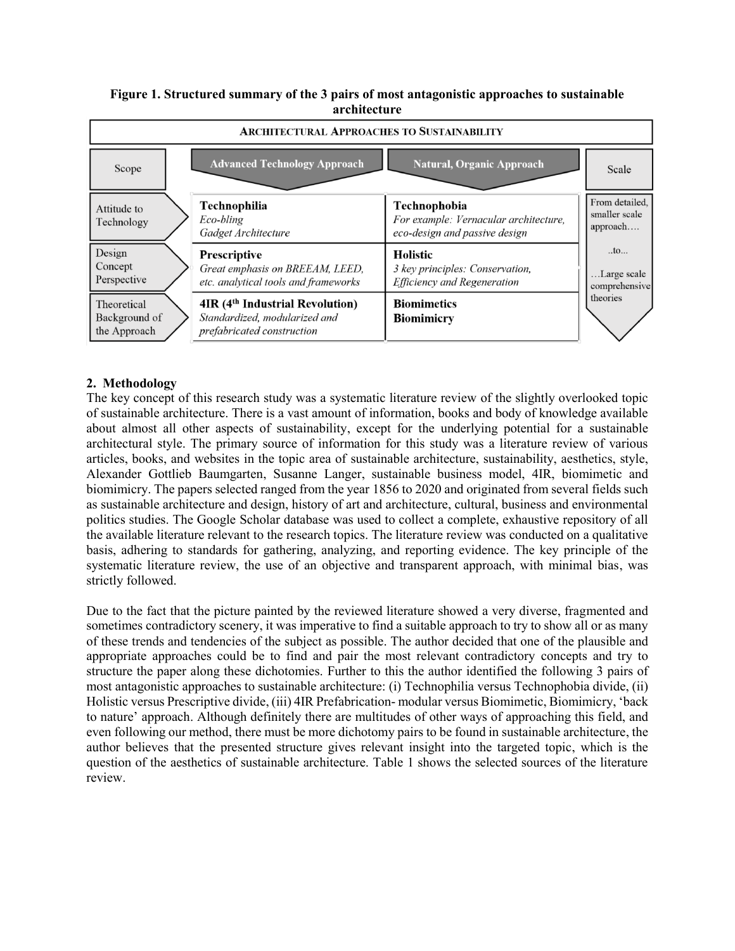### **Figure 1. Structured summary of the 3 pairs of most antagonistic approaches to sustainable architecture**



## **2. Methodology**

The key concept of this research study was a systematic literature review of the slightly overlooked topic of sustainable architecture. There is a vast amount of information, books and body of knowledge available about almost all other aspects of sustainability, except for the underlying potential for a sustainable architectural style. The primary source of information for this study was a literature review of various articles, books, and websites in the topic area of sustainable architecture, sustainability, aesthetics, style, Alexander Gottlieb Baumgarten, Susanne Langer, sustainable business model, 4IR, biomimetic and biomimicry. The papers selected ranged from the year 1856 to 2020 and originated from several fields such as sustainable architecture and design, history of art and architecture, cultural, business and environmental politics studies. The Google Scholar database was used to collect a complete, exhaustive repository of all the available literature relevant to the research topics. The literature review was conducted on a qualitative basis, adhering to standards for gathering, analyzing, and reporting evidence. The key principle of the systematic literature review, the use of an objective and transparent approach, with minimal bias, was strictly followed.

Due to the fact that the picture painted by the reviewed literature showed a very diverse, fragmented and sometimes contradictory scenery, it was imperative to find a suitable approach to try to show all or as many of these trends and tendencies of the subject as possible. The author decided that one of the plausible and appropriate approaches could be to find and pair the most relevant contradictory concepts and try to structure the paper along these dichotomies. Further to this the author identified the following 3 pairs of most antagonistic approaches to sustainable architecture: (i) Technophilia versus Technophobia divide, (ii) Holistic versus Prescriptive divide, (iii) 4IR Prefabrication- modular versus Biomimetic, Biomimicry, 'back to nature' approach. Although definitely there are multitudes of other ways of approaching this field, and even following our method, there must be more dichotomy pairs to be found in sustainable architecture, the author believes that the presented structure gives relevant insight into the targeted topic, which is the question of the aesthetics of sustainable architecture. Table 1 shows the selected sources of the literature review.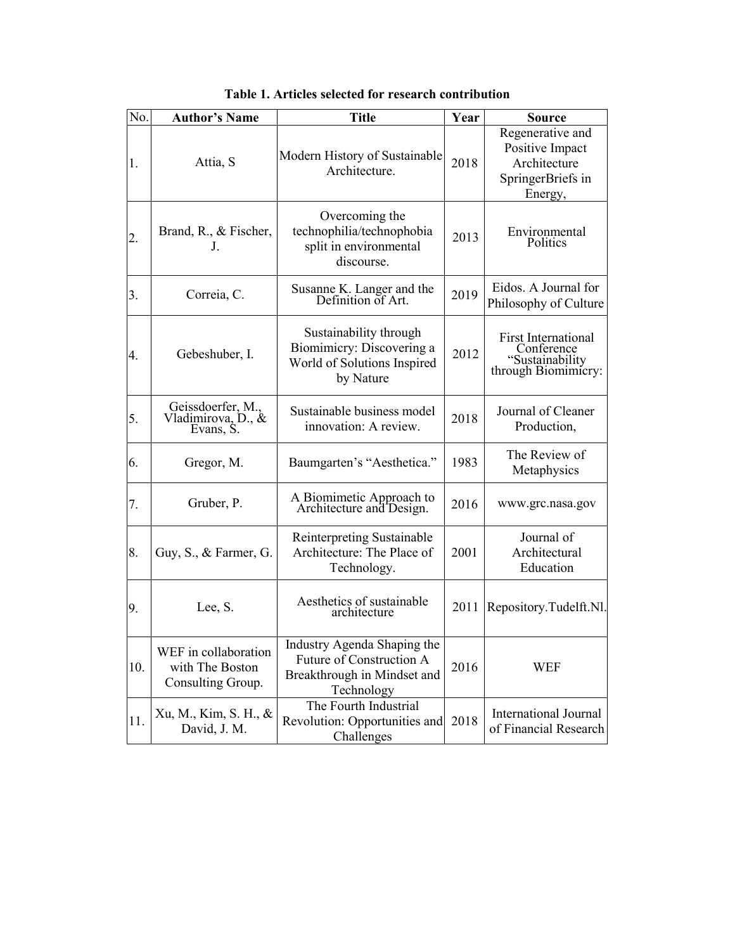| No. | <b>Author's Name</b>                                         | <b>Title</b>                                                                                         | Year | <b>Source</b>                                                                       |
|-----|--------------------------------------------------------------|------------------------------------------------------------------------------------------------------|------|-------------------------------------------------------------------------------------|
| 1.  | Attia, S                                                     | Modern History of Sustainable<br>Architecture.                                                       | 2018 | Regenerative and<br>Positive Impact<br>Architecture<br>SpringerBriefs in<br>Energy, |
| 2.  | Brand, R., & Fischer,<br>J.                                  | Overcoming the<br>technophilia/technophobia<br>split in environmental<br>discourse.                  | 2013 | Environmental<br><b>Politics</b>                                                    |
| 3.  | Correia, C.                                                  | Susanne K. Langer and the Definition of Art.                                                         | 2019 | Eidos. A Journal for<br>Philosophy of Culture                                       |
| 4.  | Gebeshuber, I.                                               | Sustainability through<br>Biomimicry: Discovering a<br>World of Solutions Inspired<br>by Nature      | 2012 | <b>First International</b><br>Conference<br>"Sustainability<br>through Biomimicry:  |
| 5.  | Geissdoerfer, M.,<br>Vladimirova, D., &<br>Evans, S.         | Sustainable business model<br>innovation: A review.                                                  | 2018 | Journal of Cleaner<br>Production,                                                   |
| 6.  | Gregor, M.                                                   | Baumgarten's "Aesthetica."                                                                           | 1983 | The Review of<br>Metaphysics                                                        |
| 7.  | Gruber, P.                                                   | A Biomimetic Approach to<br>Architecture and Design.                                                 | 2016 | www.grc.nasa.gov                                                                    |
| 8.  | Guy, S., $&$ Farmer, G.                                      | Reinterpreting Sustainable<br>Architecture: The Place of<br>Technology.                              | 2001 | Journal of<br>Architectural<br>Education                                            |
| 9.  | Lee, S.                                                      | Aesthetics of sustainable<br>architecture                                                            | 2011 | Repository.Tudelft.Nl.                                                              |
| 10. | WEF in collaboration<br>with The Boston<br>Consulting Group. | Industry Agenda Shaping the<br>Future of Construction A<br>Breakthrough in Mindset and<br>Technology | 2016 | <b>WEF</b>                                                                          |
| 11. | Xu, M., Kim, S. H., &<br>David, J. M.                        | The Fourth Industrial<br>Revolution: Opportunities and<br>Challenges                                 | 2018 | <b>International Journal</b><br>of Financial Research                               |

**Table 1. Articles selected for research contribution**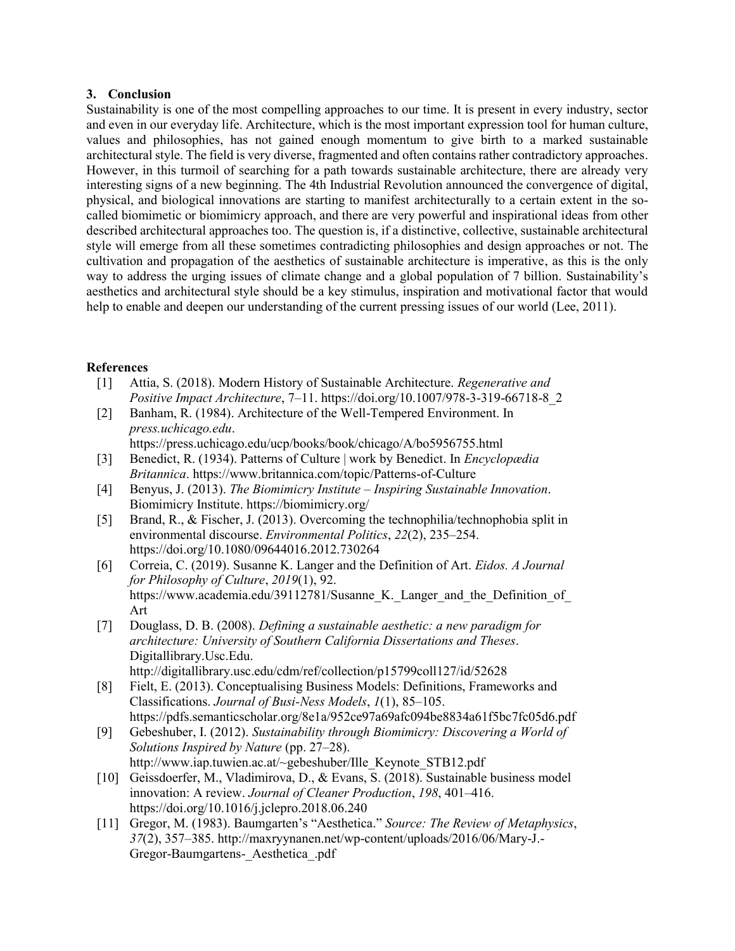### **3. Conclusion**

Sustainability is one of the most compelling approaches to our time. It is present in every industry, sector and even in our everyday life. Architecture, which is the most important expression tool for human culture, values and philosophies, has not gained enough momentum to give birth to a marked sustainable architectural style. The field is very diverse, fragmented and often contains rather contradictory approaches. However, in this turmoil of searching for a path towards sustainable architecture, there are already very interesting signs of a new beginning. The 4th Industrial Revolution announced the convergence of digital, physical, and biological innovations are starting to manifest architecturally to a certain extent in the socalled biomimetic or biomimicry approach, and there are very powerful and inspirational ideas from other described architectural approaches too. The question is, if a distinctive, collective, sustainable architectural style will emerge from all these sometimes contradicting philosophies and design approaches or not. The cultivation and propagation of the aesthetics of sustainable architecture is imperative, as this is the only way to address the urging issues of climate change and a global population of 7 billion. Sustainability's aesthetics and architectural style should be a key stimulus, inspiration and motivational factor that would help to enable and deepen our understanding of the current pressing issues of our world (Lee, 2011).

## **References**

- [1] Attia, S. (2018). Modern History of Sustainable Architecture. *Regenerative and Positive Impact Architecture*, 7–11. https://doi.org/10.1007/978-3-319-66718-8\_2
- [2] Banham, R. (1984). Architecture of the Well-Tempered Environment. In *press.uchicago.edu*.
	- https://press.uchicago.edu/ucp/books/book/chicago/A/bo5956755.html
- [3] Benedict, R. (1934). Patterns of Culture | work by Benedict. In *Encyclopædia Britannica*. https://www.britannica.com/topic/Patterns-of-Culture
- [4] Benyus, J. (2013). *The Biomimicry Institute – Inspiring Sustainable Innovation*. Biomimicry Institute. https://biomimicry.org/
- [5] Brand, R., & Fischer, J. (2013). Overcoming the technophilia/technophobia split in environmental discourse. *Environmental Politics*, *22*(2), 235–254. https://doi.org/10.1080/09644016.2012.730264
- [6] Correia, C. (2019). Susanne K. Langer and the Definition of Art. *Eidos. A Journal for Philosophy of Culture*, *2019*(1), 92. https://www.academia.edu/39112781/Susanne K. Langer and the Definition of Art
- [7] Douglass, D. B. (2008). *Defining a sustainable aesthetic: a new paradigm for architecture: University of Southern California Dissertations and Theses*. Digitallibrary.Usc.Edu. http://digitallibrary.usc.edu/cdm/ref/collection/p15799coll127/id/52628
- [8] Fielt, E. (2013). Conceptualising Business Models: Definitions, Frameworks and Classifications. *Journal of Busi-Ness Models*, *1*(1), 85–105. https://pdfs.semanticscholar.org/8e1a/952ce97a69afc094be8834a61f5bc7fc05d6.pdf
- [9] Gebeshuber, I. (2012). *Sustainability through Biomimicry: Discovering a World of Solutions Inspired by Nature* (pp. 27–28). http://www.iap.tuwien.ac.at/~gebeshuber/Ille\_Keynote\_STB12.pdf
- [10] Geissdoerfer, M., Vladimirova, D., & Evans, S. (2018). Sustainable business model innovation: A review. *Journal of Cleaner Production*, *198*, 401–416. https://doi.org/10.1016/j.jclepro.2018.06.240
- [11] Gregor, M. (1983). Baumgarten's "Aesthetica." *Source: The Review of Metaphysics*, *37*(2), 357–385. http://maxryynanen.net/wp-content/uploads/2016/06/Mary-J.- Gregor-Baumgartens-\_Aesthetica\_.pdf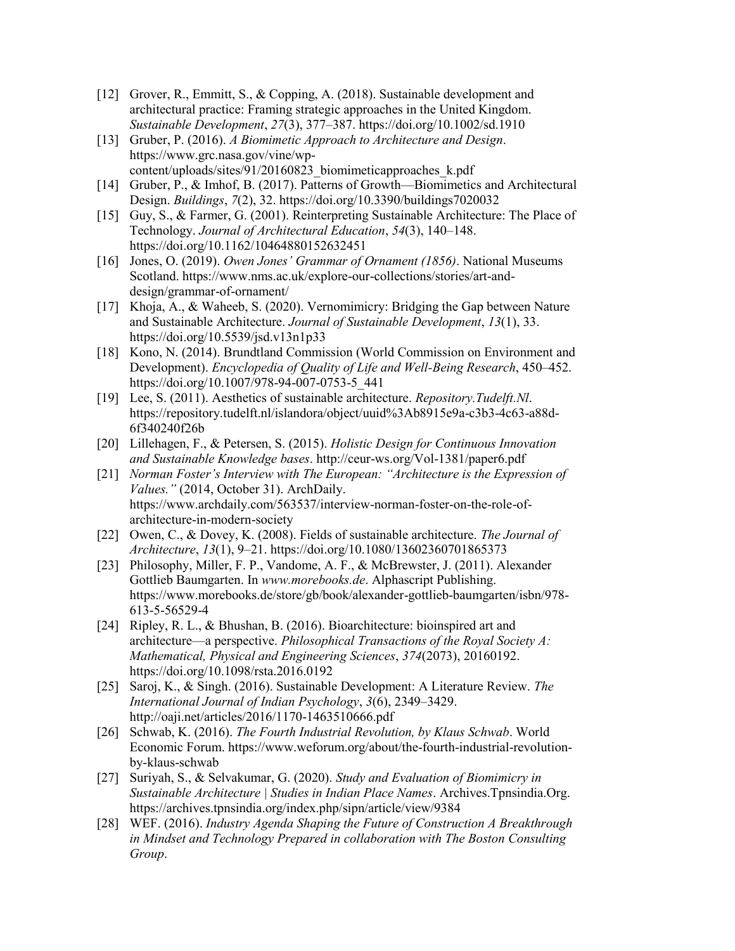- [12] Grover, R., Emmitt, S., & Copping, A. (2018). Sustainable development and architectural practice: Framing strategic approaches in the United Kingdom. *Sustainable Development*, *27*(3), 377–387. https://doi.org/10.1002/sd.1910
- [13] Gruber, P. (2016). *A Biomimetic Approach to Architecture and Design*. https://www.grc.nasa.gov/vine/wpcontent/uploads/sites/91/20160823\_biomimeticapproaches\_k.pdf
- [14] Gruber, P., & Imhof, B. (2017). Patterns of Growth—Biomimetics and Architectural Design. *Buildings*, *7*(2), 32. https://doi.org/10.3390/buildings7020032
- [15] Guy, S., & Farmer, G. (2001). Reinterpreting Sustainable Architecture: The Place of Technology. *Journal of Architectural Education*, *54*(3), 140–148. https://doi.org/10.1162/10464880152632451
- [16] Jones, O. (2019). *Owen Jones' Grammar of Ornament (1856)*. National Museums Scotland. https://www.nms.ac.uk/explore-our-collections/stories/art-anddesign/grammar-of-ornament/
- [17] Khoja, A., & Waheeb, S. (2020). Vernomimicry: Bridging the Gap between Nature and Sustainable Architecture. *Journal of Sustainable Development*, *13*(1), 33. https://doi.org/10.5539/jsd.v13n1p33
- [18] Kono, N. (2014). Brundtland Commission (World Commission on Environment and Development). *Encyclopedia of Quality of Life and Well-Being Research*, 450–452. https://doi.org/10.1007/978-94-007-0753-5\_441
- [19] Lee, S. (2011). Aesthetics of sustainable architecture. *Repository.Tudelft.Nl*. https://repository.tudelft.nl/islandora/object/uuid%3Ab8915e9a-c3b3-4c63-a88d-6f340240f26b
- [20] Lillehagen, F., & Petersen, S. (2015). *Holistic Design for Continuous Innovation and Sustainable Knowledge bases*. http://ceur-ws.org/Vol-1381/paper6.pdf
- [21] *Norman Foster's Interview with The European: "Architecture is the Expression of Values."* (2014, October 31). ArchDaily. https://www.archdaily.com/563537/interview-norman-foster-on-the-role-ofarchitecture-in-modern-society
- [22] Owen, C., & Dovey, K. (2008). Fields of sustainable architecture. *The Journal of Architecture*, *13*(1), 9–21. https://doi.org/10.1080/13602360701865373
- [23] Philosophy, Miller, F. P., Vandome, A. F., & McBrewster, J. (2011). Alexander Gottlieb Baumgarten. In *www.morebooks.de*. Alphascript Publishing. https://www.morebooks.de/store/gb/book/alexander-gottlieb-baumgarten/isbn/978- 613-5-56529-4
- [24] Ripley, R. L., & Bhushan, B. (2016). Bioarchitecture: bioinspired art and architecture—a perspective. *Philosophical Transactions of the Royal Society A: Mathematical, Physical and Engineering Sciences*, *374*(2073), 20160192. https://doi.org/10.1098/rsta.2016.0192
- [25] Saroj, K., & Singh. (2016). Sustainable Development: A Literature Review. *The International Journal of Indian Psychology*, *3*(6), 2349–3429. http://oaji.net/articles/2016/1170-1463510666.pdf
- [26] Schwab, K. (2016). *The Fourth Industrial Revolution, by Klaus Schwab*. World Economic Forum. https://www.weforum.org/about/the-fourth-industrial-revolutionby-klaus-schwab
- [27] Suriyah, S., & Selvakumar, G. (2020). *Study and Evaluation of Biomimicry in Sustainable Architecture | Studies in Indian Place Names*. Archives.Tpnsindia.Org. https://archives.tpnsindia.org/index.php/sipn/article/view/9384
- [28] WEF. (2016). *Industry Agenda Shaping the Future of Construction A Breakthrough in Mindset and Technology Prepared in collaboration with The Boston Consulting Group*.